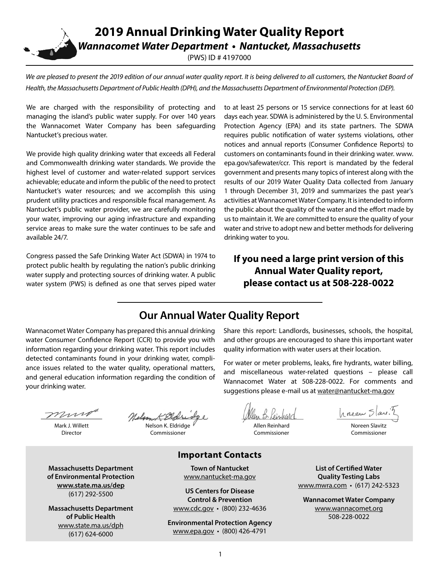# **2019 Annual Drinking Water Quality Report** *Wannacomet Water Department • Nantucket, Massachusetts*

(PWS) ID # 4197000

We are pleased to present the 2019 edition of our annual water quality report. It is being delivered to all customers, the Nantucket Board of *Health, the Massachusetts Department of Public Health (DPH), and the Massachusetts Department of Environmental Protection (DEP).*

We are charged with the responsibility of protecting and managing the island's public water supply. For over 140 years the Wannacomet Water Company has been safeguarding Nantucket's precious water.

We provide high quality drinking water that exceeds all Federal and Commonwealth drinking water standards. We provide the highest level of customer and water-related support services achievable; educate and inform the public of the need to protect Nantucket's water resources; and we accomplish this using prudent utility practices and responsible fiscal management. As Nantucket's public water provider, we are carefully monitoring your water, improving our aging infrastructure and expanding service areas to make sure the water continues to be safe and available 24/7.

Congress passed the Safe Drinking Water Act (SDWA) in 1974 to protect public health by regulating the nation's public drinking water supply and protecting sources of drinking water. A public water system (PWS) is defined as one that serves piped water to at least 25 persons or 15 service connections for at least 60 days each year. SDWA is administered by the U. S. Environmental Protection Agency (EPA) and its state partners. The SDWA requires public notification of water systems violations, other notices and annual reports (Consumer Confidence Reports) to customers on contaminants found in their drinking water. [www.](http://www.eap.gov/safewater/ccr) [epa.gov/safewater/ccr.](http://www.eap.gov/safewater/ccr) This report is mandated by the federal government and presents many topics of interest along with the results of our 2019 Water Quality Data collected from January 1 through December 31, 2019 and summarizes the past year's activities at Wannacomet Water Company. It is intended to inform the public about the quality of the water and the effort made by us to maintain it. We are committed to ensure the quality of your water and strive to adopt new and better methods for delivering drinking water to you.

### **If you need a large print version of this Annual Water Quality report, please contact us at 508-228-0022**

## **Our Annual Water Quality Report**

Wannacomet Water Company has prepared this annual drinking water Consumer Confidence Report (CCR) to provide you with information regarding your drinking water. This report includes detected contaminants found in your drinking water, compliance issues related to the water quality, operational matters, and general education information regarding the condition of your drinking water.

Share this report: Landlords, businesses, schools, the hospital, and other groups are encouraged to share this important water quality information with water users at their location.

For water or meter problems, leaks, fire hydrants, water billing, and miscellaneous water-related questions – please call Wannacomet Water at 508-228-0022. For comments and suggestions please e-mail us at [water@nantucket-ma.gov](mailto:water%40nantucket-ma.gov?subject=)

munt

Mark J. Willett Director

Nelson K. Eldridge Commissioner

B Kein

Allen Reinhard Commissioner

hneen 5 au.

Noreen Slavitz Commissioner

**Massachusetts Department of Environmental Protection [www.state.ma.us/dep](http://www.state.ma.us/dep)** (617) 292-5500

**Massachusetts Department of Public Health** [www.state.ma.us/dph](http://www.state.ma.us/dph) (617) 624-6000

#### **Important Contacts**

**Town of Nantucket** [www.nantucket-ma.gov](http://www.nantucket-ma.gov)

**US Centers for Disease Control & Prevention** [www.cdc.gov](http://www.cdc.gov) • (800) 232-4636

**Environmental Protection Agency** [www.epa.gov](http://www.epa.gov) • (800) 426-4791

**List of Certified Water Quality Testing Labs** [www.mwra.com](http://www.mwra.com) • (617) 242-5323

**Wannacomet Water Company** [www.wannacomet.org](http://www.wannacomet.org) 508-228-0022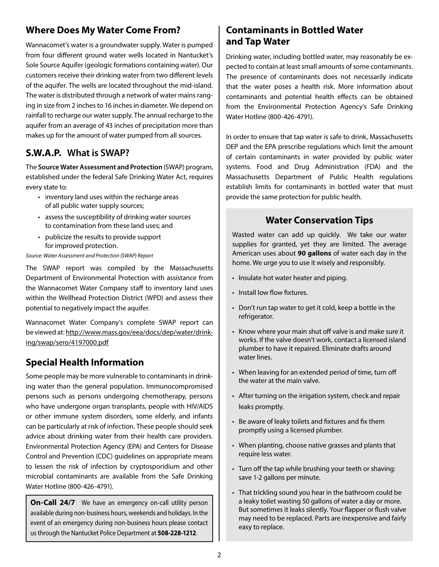#### **Where Does My Water Come From?**

Wannacomet's water is a groundwater supply. Water is pumped from four different ground water wells located in Nantucket's Sole Source Aquifer (geologic formations containing water). Our customers receive their drinking water from two different levels of the aquifer. The wells are located throughout the mid-island. The water is distributed through a network of water mains ranging in size from 2 inches to 16 inches in diameter. We depend on rainfall to recharge our water supply. The annual recharge to the aquifer from an average of 43 inches of precipitation more than makes up for the amount of water pumped from all sources.

### **S.W.A.P. What is SWAP?**

The **Source Water Assessment and Protection** (SWAP) program, established under the federal Safe Drinking Water Act, requires every state to:

- inventory land uses within the recharge areas of all public water supply sources;
- assess the susceptibility of drinking water sources to contamination from these land uses; and
- publicize the results to provide support for improved protection.

*Source: Water Assessment and Protection (SWAP) Report*

The SWAP report was compiled by the Massachusetts Department of Environmental Protection with assistance from the Wannacomet Water Company staff to inventory land uses within the Wellhead Protection District (WPD) and assess their potential to negatively impact the aquifer.

Wannacomet Water Company's complete SWAP report can be viewed at: [http://www.mass.gov/eea/docs/dep/water/drink](http://www.mass.gov/eea/docs/dep/water/drinking/swap/sero/4197000.pdf)[ing/swap/sero/4197000.pdf](http://www.mass.gov/eea/docs/dep/water/drinking/swap/sero/4197000.pdf)

## **Special Health Information**

Some people may be more vulnerable to contaminants in drinking water than the general population. Immunocompromised persons such as persons undergoing chemotherapy, persons who have undergone organ transplants, people with HIV/AIDS or other immune system disorders, some elderly, and infants can be particularly at risk of infection. These people should seek advice about drinking water from their health care providers. Environmental Protection Agency (EPA) and Centers for Disease Control and Prevention (CDC) guidelines on appropriate means to lessen the risk of infection by cryptosporidium and other microbial contaminants are available from the Safe Drinking Water Hotline (800-426-4791).

**On-Call 24/7** We have an emergency on-call utility person available during non-business hours, weekends and holidays. In the event of an emergency during non-business hours please contact us through the Nantucket Police Department at **508-228-1212**.

#### **Contaminants in Bottled Water and Tap Water**

Drinking water, including bottled water, may reasonably be expected to contain at least small amounts of some contaminants. The presence of contaminants does not necessarily indicate that the water poses a health risk. More information about contaminants and potential health effects can be obtained from the Environmental Protection Agency's Safe Drinking Water Hotline (800-426-4791).

In order to ensure that tap water is safe to drink, Massachusetts DEP and the EPA prescribe regulations which limit the amount of certain contaminants in water provided by public water systems. Food and Drug Administration (FDA) and the Massachusetts Department of Public Health regulations establish limits for contaminants in bottled water that must provide the same protection for public health.

#### **Water Conservation Tips**

Wasted water can add up quickly. We take our water supplies for granted, yet they are limited. The average American uses about **90 gallons** of water each day in the home. We urge you to use it wisely and responsibly.

- Insulate hot water heater and piping.
- Install low flow fixtures.
- Don't run tap water to get it cold, keep a bottle in the refrigerator.
- Know where your main shut off valve is and make sure it works. If the valve doesn't work, contact a licensed island plumber to have it repaired. Eliminate drafts around water lines.
- When leaving for an extended period of time, turn off the water at the main valve.
- After turning on the irrigation system, check and repair leaks promptly.
- Be aware of leaky toilets and fixtures and fix them promptly using a licensed plumber.
- When planting, choose native grasses and plants that require less water.
- Turn off the tap while brushing your teeth or shaving: save 1-2 gallons per minute.
- That trickling sound you hear in the bathroom could be a leaky toilet wasting 50 gallons of water a day or more. But sometimes it leaks silently. Your flapper or flush valve may need to be replaced. Parts are inexpensive and fairly easy to replace.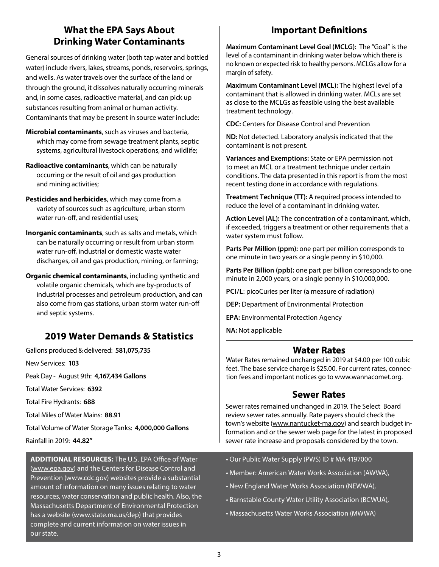### **What the EPA Says About Drinking Water Contaminants**

General sources of drinking water (both tap water and bottled water) include rivers, lakes, streams, ponds, reservoirs, springs, and wells. As water travels over the surface of the land or through the ground, it dissolves naturally occurring minerals and, in some cases, radioactive material, and can pick up substances resulting from animal or human activity. Contaminants that may be present in source water include:

- **Microbial contaminants**, such as viruses and bacteria, which may come from sewage treatment plants, septic systems, agricultural livestock operations, and wildlife;
- **Radioactive contaminants**, which can be naturally occurring or the result of oil and gas production and mining activities;
- **Pesticides and herbicides**, which may come from a variety of sources such as agriculture, urban storm water run-off, and residential uses;
- **Inorganic contaminants**, such as salts and metals, which can be naturally occurring or result from urban storm water run-off, industrial or domestic waste water discharges, oil and gas production, mining, or farming;
- **Organic chemical contaminants**, including synthetic and volatile organic chemicals, which are by-products of industrial processes and petroleum production, and can also come from gas stations, urban storm water run-off and septic systems.

## **2019 Water Demands & Statistics**

Gallons produced & delivered: **581,075,735** New Services: **103** Peak Day - August 9th: **4,167,434 Gallons** Total Water Services: **6392** Total Fire Hydrants: **688** Total Miles of Water Mains: **88.91** Total Volume of Water Storage Tanks: **4,000,000 Gallons** Rainfall in 2019: **44.82"**

**ADDITIONAL RESOURCES:** The U.S. EPA Office of Water [\(www.epa.gov\)](http://www.epa.gov) and the Centers for Disease Control and Prevention ([www.cdc.gov](http://www.cdc.gov)) websites provide a substantial amount of information on many issues relating to water resources, water conservation and public health. Also, the Massachusetts Department of Environmental Protection has a website [\(www.state.ma.us/dep\)](http://www.state.ma.us/dep) that provides complete and current information on water issues in our state.

### **Important Definitions**

**Maximum Contaminant Level Goal (MCLG):** The "Goal" is the level of a contaminant in drinking water below which there is no known or expected risk to healthy persons. MCLGs allow for a margin of safety.

**Maximum Contaminant Level (MCL):** The highest level of a contaminant that is allowed in drinking water. MCLs are set as close to the MCLGs as feasible using the best available treatment technology.

**CDC:** Centers for Disease Control and Prevention

**ND:** Not detected. Laboratory analysis indicated that the contaminant is not present.

**Variances and Exemptions:** State or EPA permission not to meet an MCL or a treatment technique under certain conditions. The data presented in this report is from the most recent testing done in accordance with regulations.

**Treatment Technique (TT):** A required process intended to reduce the level of a contaminant in drinking water.

**Action Level (AL):** The concentration of a contaminant, which, if exceeded, triggers a treatment or other requirements that a water system must follow.

**Parts Per Million (ppm):** one part per million corresponds to one minute in two years or a single penny in \$10,000.

**Parts Per Billion (ppb):** one part per billion corresponds to one minute in 2,000 years, or a single penny in \$10,000,000.

**PCI/L**: picoCuries per liter (a measure of radiation)

**DEP:** Department of Environmental Protection

**EPA:** Environmental Protection Agency

**NA:** Not applicable

#### **Water Rates**

Water Rates remained unchanged in 2019 at \$4.00 per 100 cubic feet. The base service charge is \$25.00. For current rates, connection fees and important notices go to [www.wannacomet.org](http://www.wannacomet.org).

#### **Sewer Rates**

Sewer rates remained unchanged in 2019. The Select Board review sewer rates annually. Rate payers should check the town's website [\(www.nantucket-ma.gov](http://www.nantucket-ma.gov)) and search budget information and or the sewer web page for the latest in proposed sewer rate increase and proposals considered by the town.

- Our Public Water Supply (PWS) ID # MA 4197000
- Member: American Water Works Association (AWWA),
- New England Water Works Association (NEWWA),
- Barnstable County Water Utility Association (BCWUA),
- Massachusetts Water Works Association (MWWA)